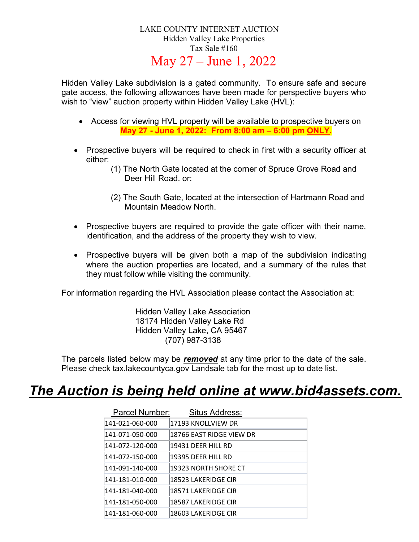### LAKE COUNTY INTERNET AUCTION Hidden Valley Lake Properties Tax Sale #160 May 27 – June 1, 2022

Hidden Valley Lake subdivision is a gated community. To ensure safe and secure gate access, the following allowances have been made for perspective buyers who wish to "view" auction property within Hidden Valley Lake (HVL):

- Access for viewing HVL property will be available to prospective buyers on May 27 - June 1, 2022: From 8:00 am – 6:00 pm ONLY.
- Prospective buyers will be required to check in first with a security officer at either:
	- (1) The North Gate located at the corner of Spruce Grove Road and Deer Hill Road. or:
	- (2) The South Gate, located at the intersection of Hartmann Road and Mountain Meadow North.
- Prospective buyers are required to provide the gate officer with their name, identification, and the address of the property they wish to view.
- Prospective buyers will be given both a map of the subdivision indicating where the auction properties are located, and a summary of the rules that they must follow while visiting the community.

For information regarding the HVL Association please contact the Association at:

Hidden Valley Lake Association 18174 Hidden Valley Lake Rd Hidden Valley Lake, CA 95467 (707) 987-3138

The parcels listed below may be **removed** at any time prior to the date of the sale. Please check tax.lakecountyca.gov Landsale tab for the most up to date list.

### The Auction is being held online at www.bid4assets.com.

| Parcel Number:  | Situs Address:           |
|-----------------|--------------------------|
| 141-021-060-000 | 17193 KNOLLVIEW DR       |
| 141-071-050-000 | 18766 EAST RIDGE VIEW DR |
| 141-072-120-000 | 19431 DEER HILL RD       |
| 141-072-150-000 | 19395 DEER HILL RD       |
| 141-091-140-000 | 19323 NORTH SHORE CT     |
| 141-181-010-000 | 18523 LAKERIDGE CIR      |
| 141-181-040-000 | 18571 LAKERIDGE CIR      |
| 141-181-050-000 | 18587 LAKERIDGE CIR      |
| 141-181-060-000 | 18603 LAKERIDGE CIR      |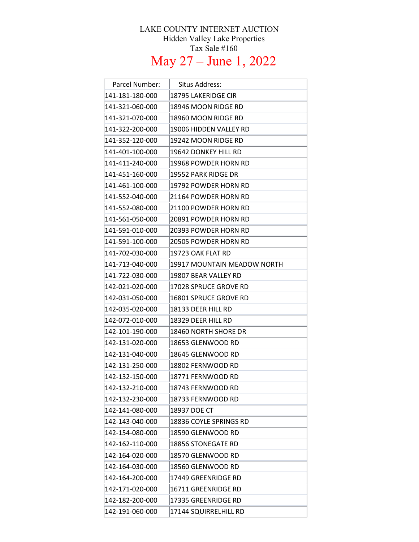#### LAKE COUNTY INTERNET AUCTION Hidden Valley Lake Properties Tax Sale #160

## May 27 – June 1, 2022

| Parcel Number:  | Situs Address:              |
|-----------------|-----------------------------|
| 141-181-180-000 | 18795 LAKERIDGE CIR         |
| 141-321-060-000 | 18946 MOON RIDGE RD         |
| 141-321-070-000 | 18960 MOON RIDGE RD         |
| 141-322-200-000 | 19006 HIDDEN VALLEY RD      |
| 141-352-120-000 | 19242 MOON RIDGE RD         |
| 141-401-100-000 | 19642 DONKEY HILL RD        |
| 141-411-240-000 | 19968 POWDER HORN RD        |
| 141-451-160-000 | 19552 PARK RIDGE DR         |
| 141-461-100-000 | 19792 POWDER HORN RD        |
| 141-552-040-000 | 21164 POWDER HORN RD        |
| 141-552-080-000 | 21100 POWDER HORN RD        |
| 141-561-050-000 | 20891 POWDER HORN RD        |
| 141-591-010-000 | 20393 POWDER HORN RD        |
| 141-591-100-000 | 20505 POWDER HORN RD        |
| 141-702-030-000 | 19723 OAK FLAT RD           |
| 141-713-040-000 | 19917 MOUNTAIN MEADOW NORTH |
| 141-722-030-000 | 19807 BEAR VALLEY RD        |
| 142-021-020-000 | 17028 SPRUCE GROVE RD       |
| 142-031-050-000 | 16801 SPRUCE GROVE RD       |
| 142-035-020-000 | 18133 DEER HILL RD          |
| 142-072-010-000 | 18329 DEER HILL RD          |
| 142-101-190-000 | 18460 NORTH SHORE DR        |
| 142-131-020-000 | 18653 GLENWOOD RD           |
| 142-131-040-000 | 18645 GLENWOOD RD           |
| 142-131-250-000 | 18802 FERNWOOD RD           |
| 142-132-150-000 | 18771 FERNWOOD RD           |
| 142-132-210-000 | 18743 FERNWOOD RD           |
| 142-132-230-000 | 18733 FERNWOOD RD           |
| 142-141-080-000 | 18937 DOE CT                |
| 142-143-040-000 | 18836 COYLE SPRINGS RD      |
| 142-154-080-000 | 18590 GLENWOOD RD           |
| 142-162-110-000 | 18856 STONEGATE RD          |
| 142-164-020-000 | 18570 GLENWOOD RD           |
| 142-164-030-000 | 18560 GLENWOOD RD           |
| 142-164-200-000 | 17449 GREENRIDGE RD         |
| 142-171-020-000 | 16711 GREENRIDGE RD         |
| 142-182-200-000 | 17335 GREENRIDGE RD         |
| 142-191-060-000 | 17144 SQUIRRELHILL RD       |